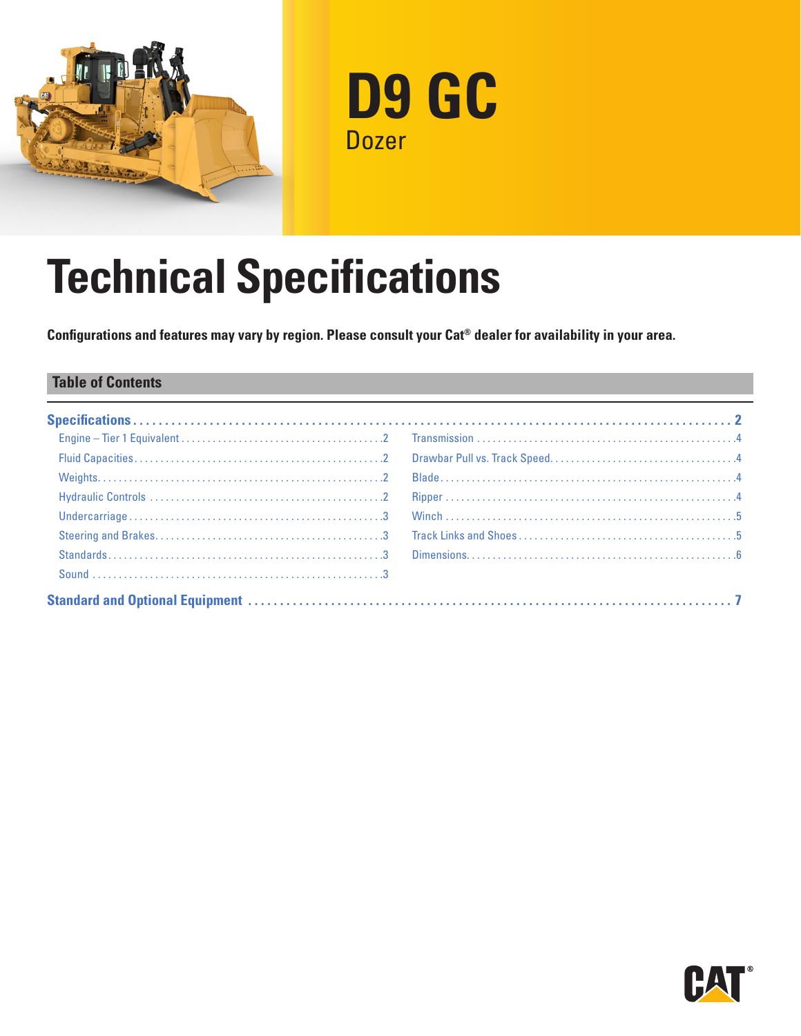



# **Technical Specifications**

**Configurations and features may vary by region. Please consult your Cat® dealer for availability in your area.**

## **Table of Contents**

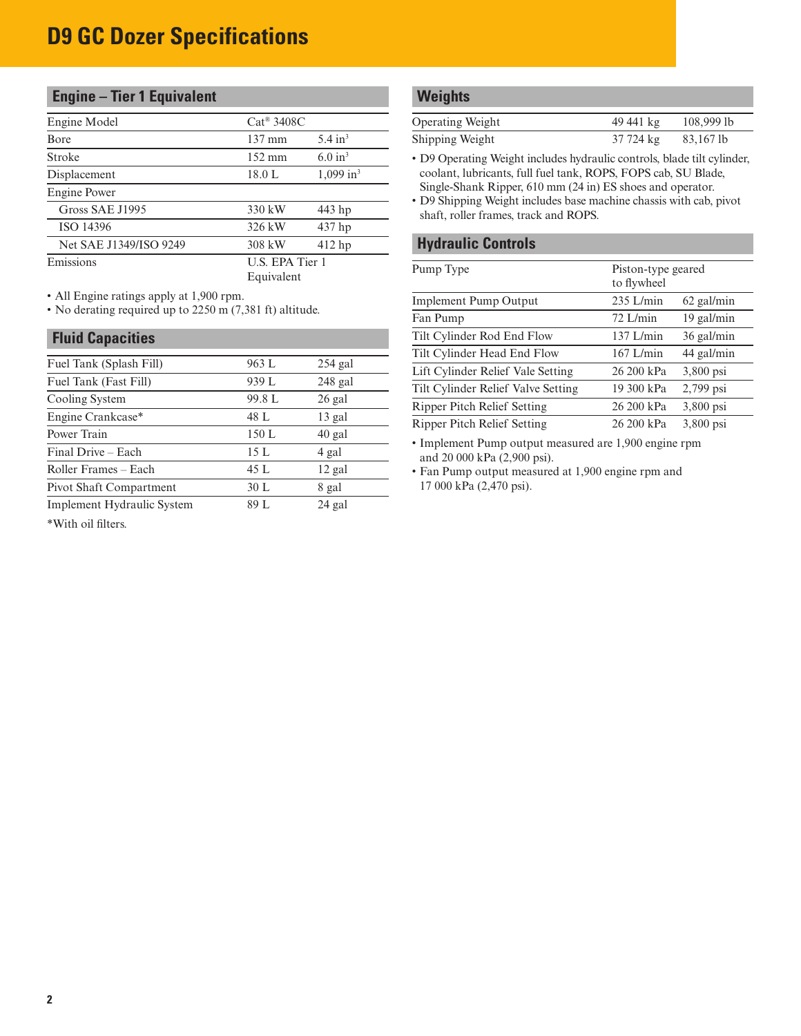# <span id="page-1-0"></span>**D9 GC Dozer Specifications**

| <b>Engine – Tier 1 Equivalent</b> |                        |                         |
|-----------------------------------|------------------------|-------------------------|
| Engine Model                      | Cat <sup>®</sup> 3408C |                         |
| Bore                              | $137 \text{ mm}$       | $5.4 \text{ in}^3$      |
| Stroke                            | $152 \text{ mm}$       | 6.0 in <sup>3</sup>     |
| Displacement                      | 18.0 L                 | $1,099$ in <sup>3</sup> |
| <b>Engine Power</b>               |                        |                         |
| Gross SAE J1995                   | 330 kW                 | 443 hp                  |
| ISO 14396                         | 326 kW                 | 437 hp                  |
| Net SAE J1349/ISO 9249            | 308 kW                 | 412 hp                  |
| Emissions                         | U.S. EPA Tier 1        |                         |

• All Engine ratings apply at 1,900 rpm.

• No derating required up to 2250 m (7,381 ft) altitude.

#### **Fluid Capacities**

| Fuel Tank (Splash Fill)    | 963 L  | $254$ gal |
|----------------------------|--------|-----------|
| Fuel Tank (Fast Fill)      | 939 L  | $248$ gal |
| Cooling System             | 99.8 L | 26 gal    |
| Engine Crankcase*          | 48 L   | 13 gal    |
| Power Train                | 150L   | $40$ gal  |
| Final Drive – Each         | 15 L   | 4 gal     |
| Roller Frames - Each       | 45 L   | $12$ gal  |
| Pivot Shaft Compartment    | 30 L   | 8 gal     |
| Implement Hydraulic System | 89 L   | $24$ gal  |
|                            |        |           |

Equivalent

\*With oil filters.

# **Weights**

| <b>Operating Weight</b> | 49 441 kg | 108,9991b |  |
|-------------------------|-----------|-----------|--|
| Shipping Weight         | 37 724 kg | 83,167 lb |  |

• D9 Operating Weight includes hydraulic controls, blade tilt cylinder, coolant, lubricants, full fuel tank, ROPS, FOPS cab, SU Blade, Single-Shank Ripper, 610 mm (24 in) ES shoes and operator.

• D9 Shipping Weight includes base machine chassis with cab, pivot shaft, roller frames, track and ROPS.

#### **Hydraulic Controls**

| Pump Type                          | Piston-type geared<br>to flywheel |              |
|------------------------------------|-----------------------------------|--------------|
| <b>Implement Pump Output</b>       | $235$ L/min                       | $62$ gal/min |
| Fan Pump                           | $72$ L/min                        | 19 gal/min   |
| Tilt Cylinder Rod End Flow         | $137$ L/min                       | 36 gal/min   |
| Tilt Cylinder Head End Flow        | $167$ L/min                       | 44 gal/min   |
| Lift Cylinder Relief Vale Setting  | 26 200 kPa                        | 3,800 psi    |
| Tilt Cylinder Relief Valve Setting | 19 300 kPa                        | 2,799 psi    |
| Ripper Pitch Relief Setting        | 26 200 kPa                        | 3,800 psi    |
| Ripper Pitch Relief Setting        | 26 200 kPa                        | 3,800 psi    |
|                                    |                                   |              |

• Implement Pump output measured are 1,900 engine rpm and 20 000 kPa (2,900 psi).

• Fan Pump output measured at 1,900 engine rpm and 17 000 kPa (2,470 psi).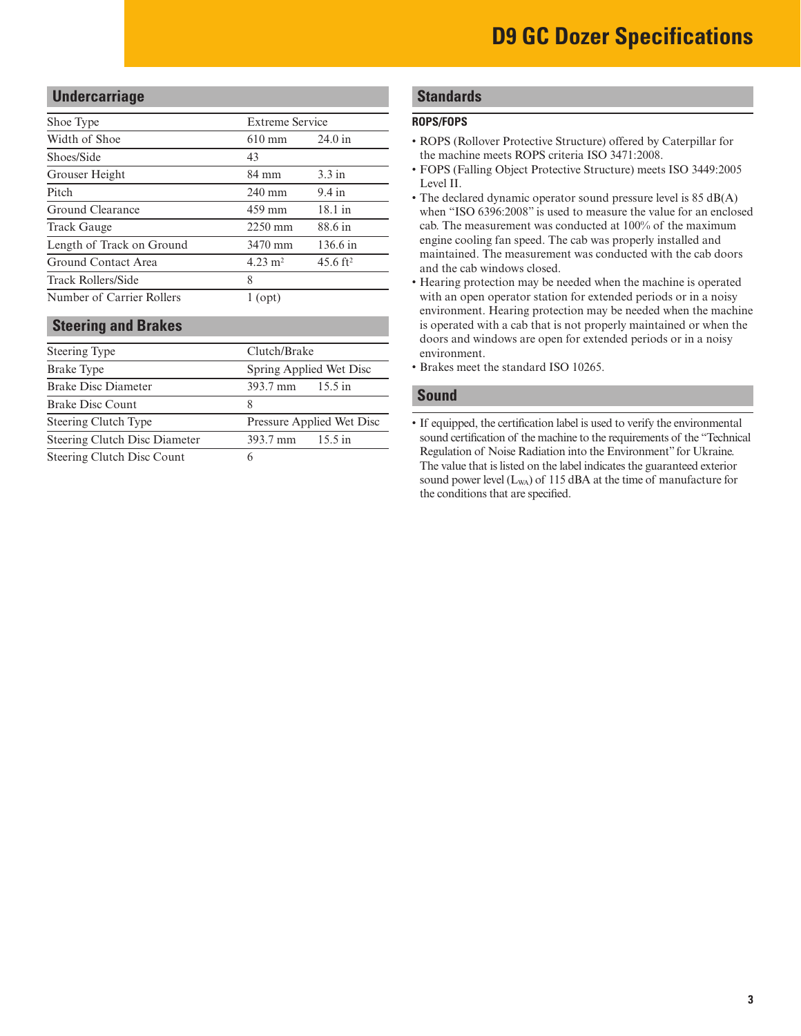### <span id="page-2-0"></span>**Undercarriage**

| Shoe Type                 |                    | <b>Extreme Service</b> |  |
|---------------------------|--------------------|------------------------|--|
| Width of Shoe             | $610$ mm           | $24.0$ in              |  |
| Shoes/Side                | 43                 |                        |  |
| Grouser Height            | 84 mm              | 3.3 in                 |  |
| Pitch                     | $240 \text{ mm}$   | 9.4 in                 |  |
| Ground Clearance          | 459 mm             | $18.1$ in              |  |
| <b>Track Gauge</b>        | $2250 \text{ mm}$  | 88.6 in                |  |
| Length of Track on Ground | 3470 mm            | 136.6 in               |  |
| Ground Contact Area       | $4.23 \text{ m}^2$ | $45.6 \text{ ft}^2$    |  |
| Track Rollers/Side        | 8                  |                        |  |
| Number of Carrier Rollers | $1$ (opt)          |                        |  |
|                           |                    |                        |  |

#### **Steering and Brakes**

| Steering Type                 | Clutch/Brake              |  |  |
|-------------------------------|---------------------------|--|--|
| <b>Brake Type</b>             | Spring Applied Wet Disc   |  |  |
| <b>Brake Disc Diameter</b>    | 393.7 mm<br>15.5 in       |  |  |
| <b>Brake Disc Count</b>       | 8                         |  |  |
| Steering Clutch Type          | Pressure Applied Wet Disc |  |  |
| Steering Clutch Disc Diameter | 393.7 mm<br>15.5 in       |  |  |
| Steering Clutch Disc Count    | 6                         |  |  |

#### **Standards**

#### **ROPS/FOPS**

- ROPS (Rollover Protective Structure) offered by Caterpillar for the machine meets ROPS criteria ISO 3471:2008.
- FOPS (Falling Object Protective Structure) meets ISO 3449:2005 Level II.
- The declared dynamic operator sound pressure level is 85 dB(A) when "ISO 6396:2008" is used to measure the value for an enclosed cab. The measurement was conducted at 100% of the maximum engine cooling fan speed. The cab was properly installed and maintained. The measurement was conducted with the cab doors and the cab windows closed.
- Hearing protection may be needed when the machine is operated with an open operator station for extended periods or in a noisy environment. Hearing protection may be needed when the machine is operated with a cab that is not properly maintained or when the doors and windows are open for extended periods or in a noisy environment.
- Brakes meet the standard ISO 10265.

#### **Sound**

• If equipped, the certification label is used to verify the environmental sound certification of the machine to the requirements of the "Technical Regulation of Noise Radiation into the Environment" for Ukraine. The value that is listed on the label indicates the guaranteed exterior sound power level  $(L_{WA})$  of 115 dBA at the time of manufacture for the conditions that are specified.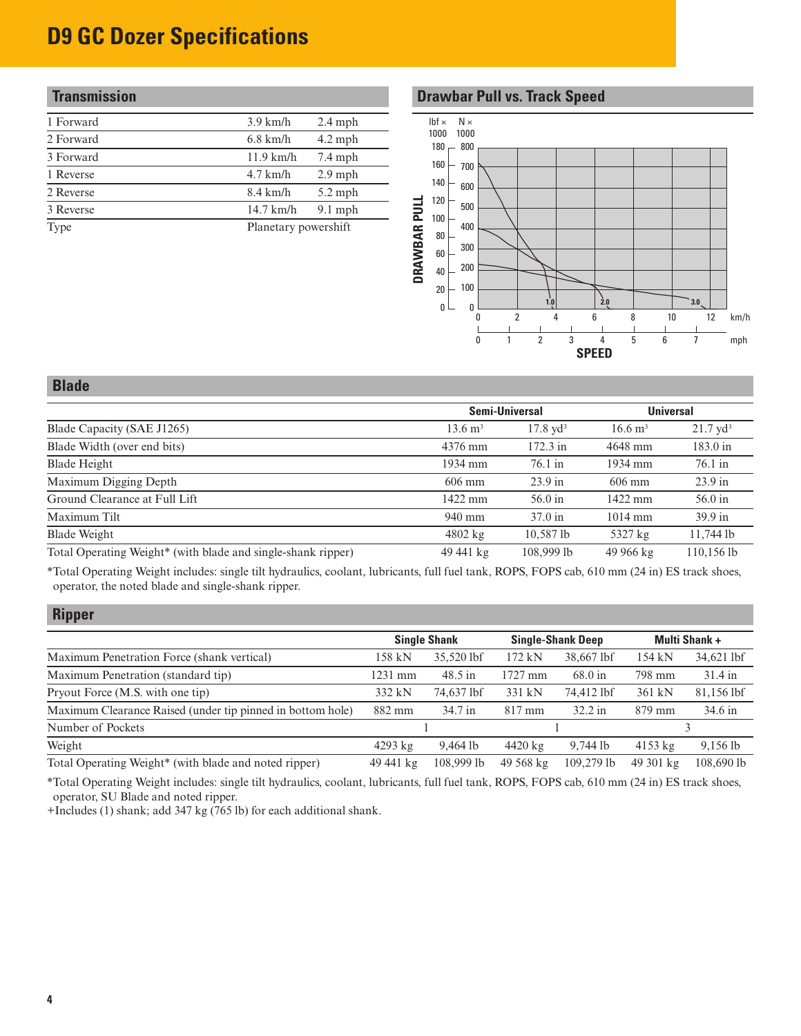# <span id="page-3-0"></span>**D9 GC Dozer Specifications**

| <b>Transmission</b> |                      |           |
|---------------------|----------------------|-----------|
| 1 Forward           | $3.9$ km/h           | $2.4$ mph |
| 2 Forward           | $6.8$ km/h           | $4.2$ mph |
| 3 Forward           | $11.9$ km/h          | $7.4$ mph |
| 1 Reverse           | $4.7$ km/h           | $2.9$ mph |
| 2 Reverse           | $8.4 \text{ km/h}$   | $5.2$ mph |
| 3 Reverse           | $14.7$ km/h          | $9.1$ mph |
| Type                | Planetary powershift |           |

## **Drawbar Pull vs. Track Speed**



#### **Blade**

|                                                              | Semi-Universal     |                     | <b>Universal</b>   |                     |
|--------------------------------------------------------------|--------------------|---------------------|--------------------|---------------------|
| Blade Capacity (SAE J1265)                                   | $13.6 \text{ m}^3$ | $17.8 \text{ vd}^3$ | $16.6 \text{ m}^3$ | $21.7 \text{ yd}^3$ |
| Blade Width (over end bits)                                  | 4376 mm            | 172.3 in            | 4648 mm            | 183.0 in            |
| <b>Blade Height</b>                                          | 1934 mm            | $76.1$ in           | 1934 mm            | $76.1 \text{ in}$   |
| Maximum Digging Depth                                        | $606 \text{ mm}$   | $23.9$ in           | $606 \text{ mm}$   | $23.9$ in           |
| Ground Clearance at Full Lift                                | 1422 mm            | $56.0 \text{ in}$   | 1422 mm            | 56.0 in             |
| Maximum Tilt                                                 | 940 mm             | $37.0 \text{ in}$   | $1014 \text{ mm}$  | $39.9 \text{ in}$   |
| Blade Weight                                                 | $4802 \text{ kg}$  | $10,587$ lb         | 5327 kg            | 11,744 lb           |
| Total Operating Weight* (with blade and single-shank ripper) | 49 441 kg          | 108,999 lb          | 49 966 kg          | $110, 156$ lb       |

\*Total Operating Weight includes: single tilt hydraulics, coolant, lubricants, full fuel tank, ROPS, FOPS cab, 610 mm (24 in) ES track shoes, operator, the noted blade and single-shank ripper.

### **Ripper**

|                                                            |           | <b>Single Shank</b> |                   | <b>Single-Shank Deep</b> |                   | <b>Multi Shank +</b> |
|------------------------------------------------------------|-----------|---------------------|-------------------|--------------------------|-------------------|----------------------|
| Maximum Penetration Force (shank vertical)                 | 158 kN    | 35,520 lbf          | $172 \text{ kN}$  | 38,667 lbf               | 154kN             | 34,621 lbf           |
| Maximum Penetration (standard tip)                         | 1231 mm   | $48.5$ in           | 1727 mm           | $68.0$ in                | 798 mm            | $31.4 \text{ in}$    |
| Pryout Force (M.S. with one tip)                           | 332 kN    | 74.637 lbf          | 331 kN            | 74.412 lbf               | 361 kN            | 81,156 lbf           |
| Maximum Clearance Raised (under tip pinned in bottom hole) | 882 mm    | 34.7 in             | $817 \text{ mm}$  | $32.2$ in                | 879 mm            | 34.6 in              |
| Number of Pockets                                          |           |                     |                   |                          |                   |                      |
| Weight                                                     | $4293$ kg | 9.464 lb            | $4420 \text{ kg}$ | 9.744 lb                 | $4153 \text{ kg}$ | $9,156$ lb           |
| Total Operating Weight* (with blade and noted ripper)      | 49 441 kg | 108.9991b           | 49 568 kg         | 109.279 lb               | 49 301 kg         | 108,690 lb           |

\*Total Operating Weight includes: single tilt hydraulics, coolant, lubricants, full fuel tank, ROPS, FOPS cab, 610 mm (24 in) ES track shoes, operator, SU Blade and noted ripper.

+Includes (1) shank; add 347 kg (765 lb) for each additional shank.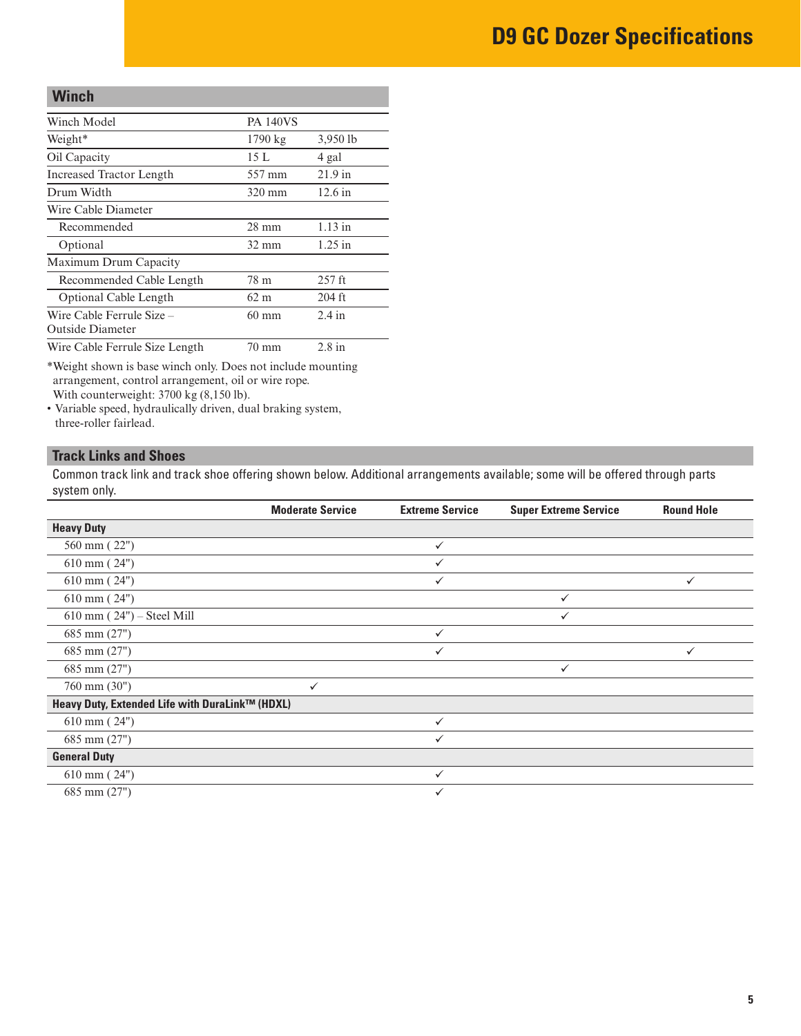## <span id="page-4-0"></span>**Winch**

| Winch Model                                          | <b>PA 140VS</b>   |                  |
|------------------------------------------------------|-------------------|------------------|
| Weight*                                              | $1790 \text{ kg}$ | 3,950 lb         |
| Oil Capacity                                         | 15L               | 4 gal            |
| <b>Increased Tractor Length</b>                      | 557 mm            | $21.9$ in        |
| Drum Width                                           | $320 \text{ mm}$  | $12.6$ in        |
| Wire Cable Diameter                                  |                   |                  |
| Recommended                                          | $28 \text{ mm}$   | $1.13$ in        |
| Optional                                             | $32 \text{ mm}$   | $1.25$ in        |
| Maximum Drum Capacity                                |                   |                  |
| Recommended Cable Length                             | 78 m              | $257$ ft         |
| <b>Optional Cable Length</b>                         | 62 m              | $204$ ft         |
| Wire Cable Ferrule Size –<br><b>Outside Diameter</b> | $60 \text{ mm}$   | $2.4$ in         |
| Wire Cable Ferrule Size Length                       | 70 mm             | $2.8 \text{ in}$ |
|                                                      |                   |                  |

\*Weight shown is base winch only. Does not include mounting arrangement, control arrangement, oil or wire rope. With counterweight: 3700 kg (8,150 lb).

• Variable speed, hydraulically driven, dual braking system, three-roller fairlead.

#### **Track Links and Shoes**

Common track link and track shoe offering shown below. Additional arrangements available; some will be offered through parts system only.

|                                                 | <b>Moderate Service</b> | <b>Extreme Service</b> | <b>Super Extreme Service</b> | <b>Round Hole</b> |
|-------------------------------------------------|-------------------------|------------------------|------------------------------|-------------------|
| <b>Heavy Duty</b>                               |                         |                        |                              |                   |
| 560 mm (22")                                    |                         | ✓                      |                              |                   |
| $610$ mm $(24")$                                |                         | ✓                      |                              |                   |
| $610$ mm $(24")$                                |                         | ✓                      |                              | $\checkmark$      |
| $610$ mm $(24")$                                |                         |                        | ✓                            |                   |
| $610$ mm $(24")$ – Steel Mill                   |                         |                        |                              |                   |
| $685$ mm $(27")$                                |                         | ✓                      |                              |                   |
| 685 mm (27")                                    |                         | ✓                      |                              | $\checkmark$      |
| 685 mm (27")                                    |                         |                        | $\checkmark$                 |                   |
| 760 mm (30")                                    | ✓                       |                        |                              |                   |
| Heavy Duty, Extended Life with DuraLink™ (HDXL) |                         |                        |                              |                   |
| $610$ mm $(24")$                                |                         | ✓                      |                              |                   |
| 685 mm (27")                                    |                         | ✓                      |                              |                   |
| <b>General Duty</b>                             |                         |                        |                              |                   |
| $610$ mm $(24")$                                |                         | ✓                      |                              |                   |
| 685 mm (27")                                    |                         |                        |                              |                   |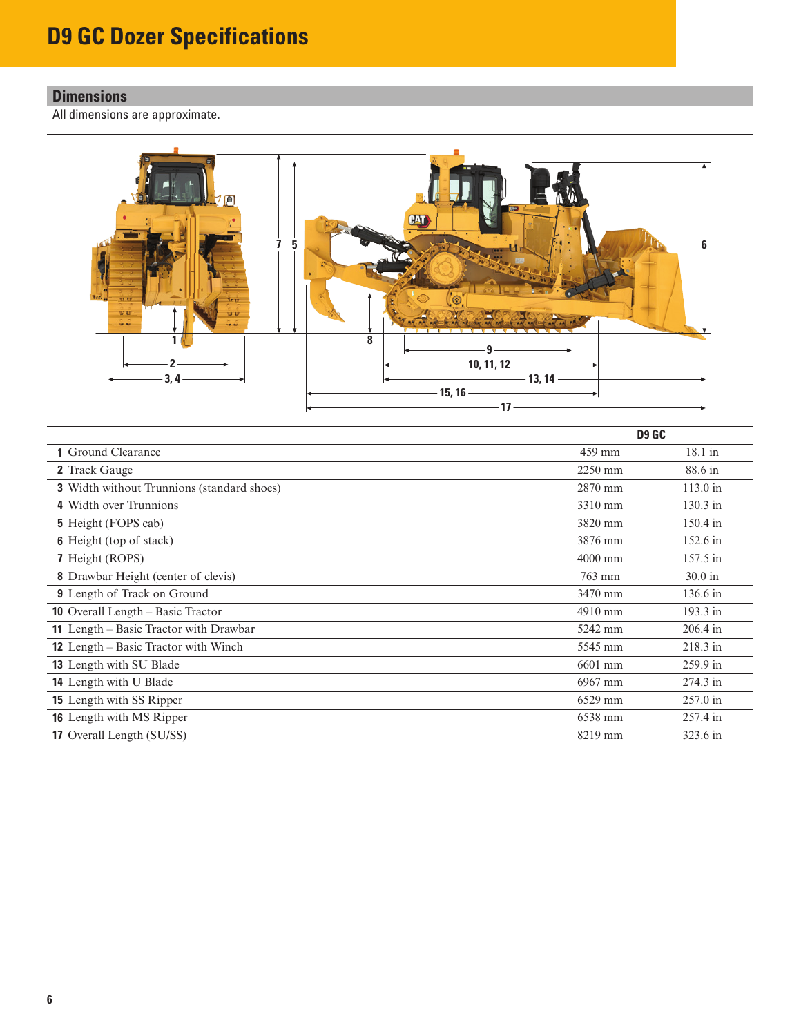# <span id="page-5-0"></span>**D9 GC Dozer Specifications**

# **Dimensions**

All dimensions are approximate.



|                                                   | <b>D9 GC</b> |                    |
|---------------------------------------------------|--------------|--------------------|
| <b>1</b> Ground Clearance                         | 459 mm       | $18.1$ in          |
| 2 Track Gauge                                     | 2250 mm      | 88.6 in            |
| <b>3</b> Width without Trunnions (standard shoes) | 2870 mm      | 113.0 in           |
| <b>4</b> Width over Trunnions                     | 3310 mm      | $130.3$ in         |
| <b>5</b> Height (FOPS cab)                        | 3820 mm      | 150.4 in           |
| <b>6</b> Height (top of stack)                    | 3876 mm      | 152.6 in           |
| 7 Height (ROPS)                                   | $4000$ mm    | 157.5 in           |
| <b>8</b> Drawbar Height (center of clevis)        | $763$ mm     | $30.0$ in          |
| 9 Length of Track on Ground                       | 3470 mm      | 136.6 in           |
| <b>10</b> Overall Length – Basic Tractor          | 4910 mm      | 193.3 in           |
| <b>11</b> Length – Basic Tractor with Drawbar     | 5242 mm      | $206.4$ in         |
| <b>12</b> Length – Basic Tractor with Winch       | 5545 mm      | 218.3 in           |
| 13 Length with SU Blade                           | 6601 mm      | 259.9 in           |
| <b>14</b> Length with U Blade                     | 6967 mm      | 274.3 in           |
| <b>15</b> Length with SS Ripper                   | 6529 mm      | $257.0 \text{ in}$ |
| <b>16</b> Length with MS Ripper                   | 6538 mm      | 257.4 in           |
| <b>17</b> Overall Length (SU/SS)                  | 8219 mm      | 323.6 in           |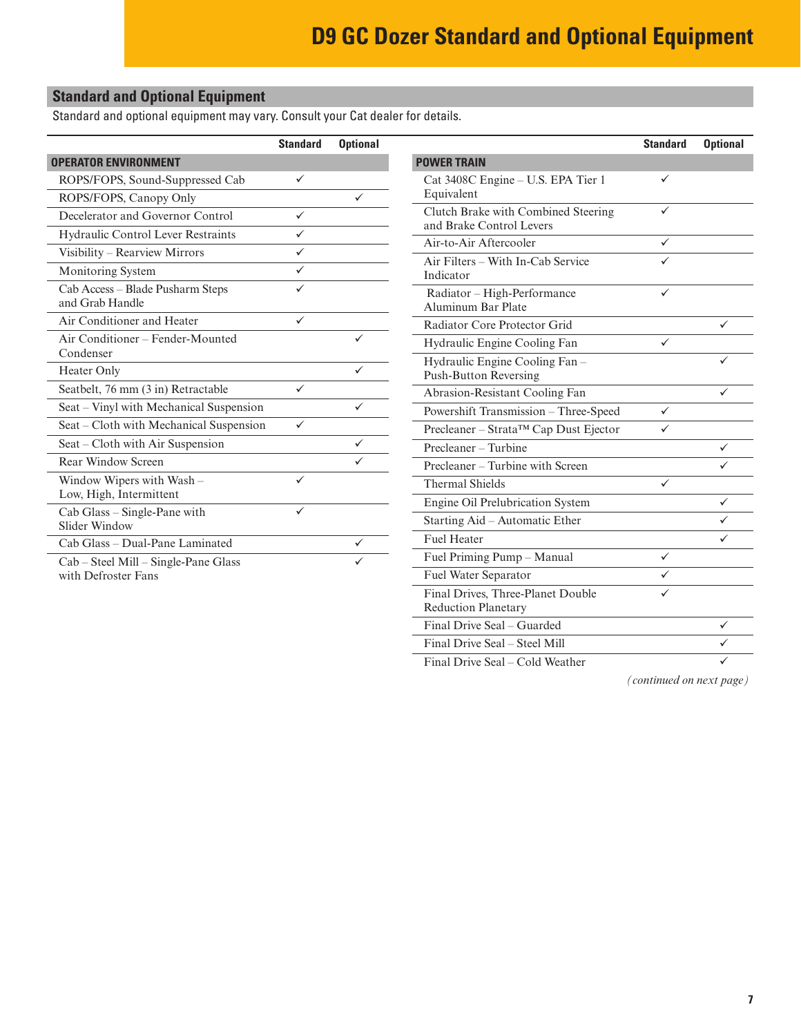# <span id="page-6-0"></span>**Standard and Optional Equipment**

Standard and optional equipment may vary. Consult your Cat dealer for details.

|                                                             | <b>Standard</b> | <b>Optional</b> |                                                                 | <b>Standard</b> | <b>Optional</b> |
|-------------------------------------------------------------|-----------------|-----------------|-----------------------------------------------------------------|-----------------|-----------------|
| <b>OPERATOR ENVIRONMENT</b>                                 |                 |                 | <b>POWER TRAIN</b>                                              |                 |                 |
| ROPS/FOPS, Sound-Suppressed Cab                             | $\checkmark$    |                 | Cat 3408C Engine - U.S. EPA Tier 1                              | ✓               |                 |
| ROPS/FOPS, Canopy Only                                      |                 | $\checkmark$    | Equivalent                                                      |                 |                 |
| Decelerator and Governor Control                            | $\checkmark$    |                 | Clutch Brake with Combined Steering<br>and Brake Control Levers | $\checkmark$    |                 |
| Hydraulic Control Lever Restraints                          | $\checkmark$    |                 | Air-to-Air Aftercooler                                          | $\checkmark$    |                 |
| Visibility - Rearview Mirrors                               | $\checkmark$    |                 | Air Filters – With In-Cab Service                               | ✓               |                 |
| Monitoring System                                           | ✓               |                 | Indicator                                                       |                 |                 |
| Cab Access - Blade Pusharm Steps<br>and Grab Handle         | ✓               |                 | Radiator - High-Performance<br>Aluminum Bar Plate               | $\checkmark$    |                 |
| Air Conditioner and Heater                                  | ✓               |                 | Radiator Core Protector Grid                                    |                 | ✓               |
| Air Conditioner – Fender-Mounted                            |                 | ✓               | Hydraulic Engine Cooling Fan                                    | $\checkmark$    |                 |
| Condenser                                                   |                 |                 | Hydraulic Engine Cooling Fan-                                   |                 | ✓               |
| Heater Only                                                 |                 | ✓               | <b>Push-Button Reversing</b>                                    |                 |                 |
| Seatbelt, 76 mm (3 in) Retractable                          | $\checkmark$    |                 | Abrasion-Resistant Cooling Fan                                  |                 | $\checkmark$    |
| Seat – Vinyl with Mechanical Suspension                     |                 | $\checkmark$    | Powershift Transmission - Three-Speed                           | $\checkmark$    |                 |
| Seat – Cloth with Mechanical Suspension                     | $\checkmark$    |                 | Precleaner – Strata™ Cap Dust Ejector                           | $\checkmark$    |                 |
| Seat - Cloth with Air Suspension                            |                 | $\checkmark$    | Precleaner – Turbine                                            |                 | ✓               |
| Rear Window Screen                                          |                 | ✓               | Precleaner – Turbine with Screen                                |                 | ✓               |
| Window Wipers with Wash -                                   | ✓               |                 | <b>Thermal Shields</b>                                          | ✓               |                 |
| Low, High, Intermittent                                     |                 |                 | Engine Oil Prelubrication System                                |                 | $\checkmark$    |
| Cab Glass - Single-Pane with                                | $\checkmark$    |                 | Starting Aid – Automatic Ether                                  |                 | $\checkmark$    |
| Slider Window                                               |                 |                 | <b>Fuel Heater</b>                                              |                 | $\checkmark$    |
| Cab Glass - Dual-Pane Laminated                             |                 | $\checkmark$    | Fuel Priming Pump - Manual                                      | $\checkmark$    |                 |
| Cab - Steel Mill - Single-Pane Glass<br>with Defroster Fans |                 | ✓               | Fuel Water Separator                                            | $\checkmark$    |                 |
|                                                             |                 |                 |                                                                 |                 |                 |
|                                                             |                 |                 | Final Drives, Three-Planet Double                               | $\checkmark$    |                 |

Reduction Planetary

Final Drive Seal – Guarded Final Drive Seal – Steel Mill Final Drive Seal – Cold Weather

*(continued on next page)*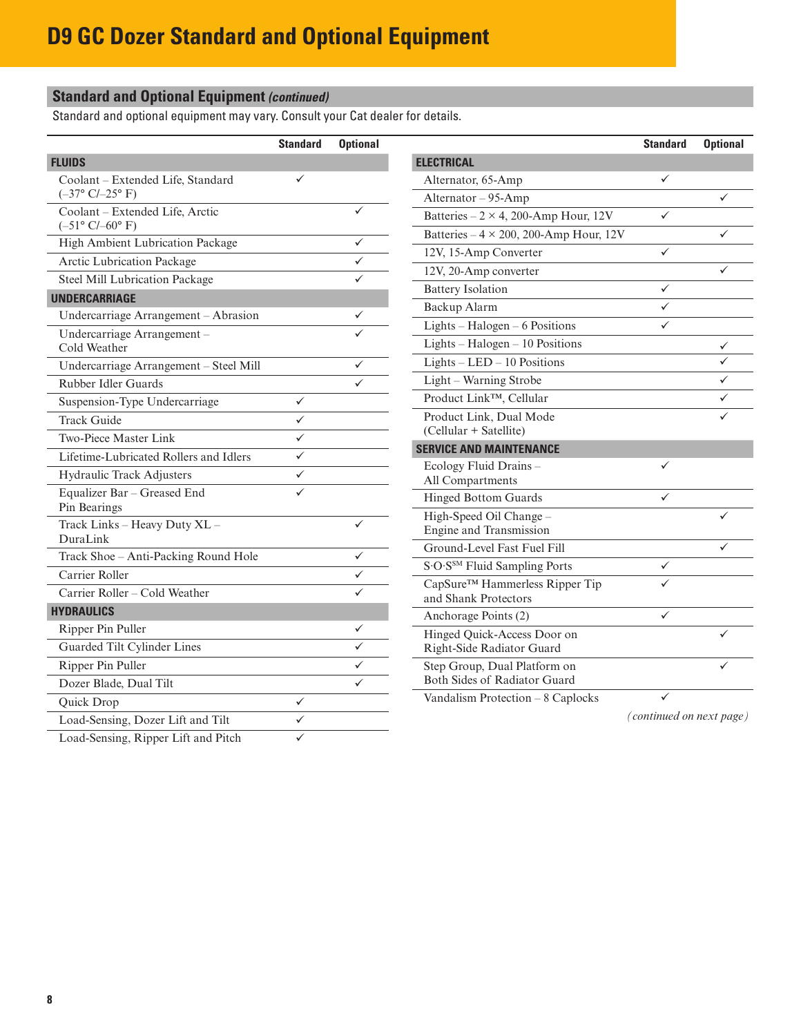# **Standard and Optional Equipment** *(continued)*

Standard and optional equipment may vary. Consult your Cat dealer for details.

|                                                                    | <b>Standard</b> | <b>Optional</b> |                                                        | <b>Standard</b>          | <b>Optional</b> |
|--------------------------------------------------------------------|-----------------|-----------------|--------------------------------------------------------|--------------------------|-----------------|
| <b>FLUIDS</b>                                                      |                 |                 | <b>ELECTRICAL</b>                                      |                          |                 |
| Coolant - Extended Life, Standard                                  | ✓               |                 | Alternator, 65-Amp                                     | $\checkmark$             |                 |
| $(-37° C/-25° F)$                                                  |                 |                 | Alternator - 95-Amp                                    |                          | ✓               |
| Coolant - Extended Life, Arctic<br>$(-51^{\circ} C/-60^{\circ} F)$ |                 | $\checkmark$    | Batteries – $2 \times 4$ , 200-Amp Hour, 12V           | $\checkmark$             |                 |
| High Ambient Lubrication Package                                   |                 | ✓               | Batteries – $4 \times 200$ , 200-Amp Hour, 12V         |                          | ✓               |
| Arctic Lubrication Package                                         |                 | ✓               | 12V, 15-Amp Converter                                  | $\checkmark$             |                 |
| Steel Mill Lubrication Package                                     |                 | ✓               | 12V, 20-Amp converter                                  |                          | ✓               |
|                                                                    |                 |                 | <b>Battery Isolation</b>                               | $\checkmark$             |                 |
| <b>UNDERCARRIAGE</b>                                               |                 |                 | Backup Alarm                                           | ✓                        |                 |
| Undercarriage Arrangement - Abrasion                               |                 | ✓               | Lights - Halogen - 6 Positions                         | ✓                        |                 |
| Undercarriage Arrangement-<br>Cold Weather                         |                 |                 | Lights $-$ Halogen $-10$ Positions                     |                          | ✓               |
| Undercarriage Arrangement - Steel Mill                             |                 | ✓               | $Lights – LED – 10$ Positions                          |                          | ✓               |
| Rubber Idler Guards                                                |                 | $\checkmark$    | Light - Warning Strobe                                 |                          | ✓               |
| Suspension-Type Undercarriage                                      | $\checkmark$    |                 | Product Link™, Cellular                                |                          | ✓               |
| <b>Track Guide</b>                                                 | $\checkmark$    |                 | Product Link, Dual Mode                                |                          |                 |
| <b>Two-Piece Master Link</b>                                       | $\checkmark$    |                 | (Cellular + Satellite)                                 |                          |                 |
| Lifetime-Lubricated Rollers and Idlers                             | $\checkmark$    |                 | <b>SERVICE AND MAINTENANCE</b>                         |                          |                 |
| <b>Hydraulic Track Adjusters</b>                                   | $\checkmark$    |                 | Ecology Fluid Drains -<br>All Compartments             | ✓                        |                 |
| Equalizer Bar - Greased End<br>Pin Bearings                        | ✓               |                 | <b>Hinged Bottom Guards</b>                            | ✓                        |                 |
| Track Links - Heavy Duty XL -                                      |                 | ✓               | High-Speed Oil Change -                                |                          | ✓               |
| DuraLink                                                           |                 |                 | Engine and Transmission                                |                          |                 |
| Track Shoe - Anti-Packing Round Hole                               |                 | ✓               | Ground-Level Fast Fuel Fill                            |                          | ✓               |
| Carrier Roller                                                     |                 | ✓               | S.O.S <sup>SM</sup> Fluid Sampling Ports               | $\checkmark$             |                 |
| Carrier Roller - Cold Weather                                      |                 | ✓               | CapSure™ Hammerless Ripper Tip<br>and Shank Protectors | ✓                        |                 |
| <b>HYDRAULICS</b>                                                  |                 |                 | Anchorage Points (2)                                   | $\checkmark$             |                 |
| Ripper Pin Puller                                                  |                 | ✓               | Hinged Quick-Access Door on                            |                          |                 |
| Guarded Tilt Cylinder Lines                                        |                 | ✓               | Right-Side Radiator Guard                              |                          |                 |
| Ripper Pin Puller                                                  |                 | $\checkmark$    | Step Group, Dual Platform on                           |                          |                 |
| Dozer Blade, Dual Tilt                                             |                 | ✓               | Both Sides of Radiator Guard                           |                          |                 |
| Quick Drop                                                         | $\checkmark$    |                 | Vandalism Protection - 8 Caplocks                      | $\checkmark$             |                 |
| Load-Sensing, Dozer Lift and Tilt                                  | ✓               |                 |                                                        | (continued on next page) |                 |

Load-Sensing, Ripper Lift and Pitch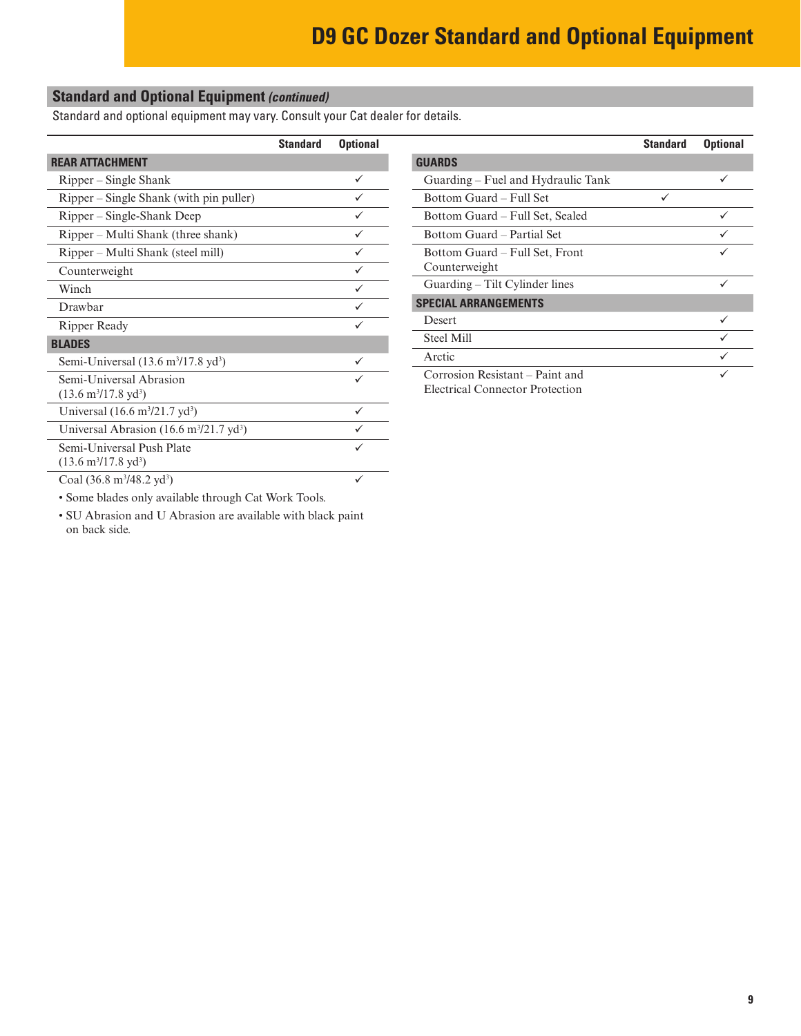# **Standard and Optional Equipment** *(continued)*

Standard and optional equipment may vary. Consult your Cat dealer for details.

|                                                                     | <b>Standard</b> | <b>Optional</b> |
|---------------------------------------------------------------------|-----------------|-----------------|
| <b>REAR ATTACHMENT</b>                                              |                 |                 |
| Ripper – Single Shank                                               |                 | ✓               |
| Ripper – Single Shank (with pin puller)                             |                 |                 |
| Ripper – Single-Shank Deep                                          |                 |                 |
| Ripper – Multi Shank (three shank)                                  |                 | ✓               |
| Ripper – Multi Shank (steel mill)                                   |                 | ✓               |
| Counterweight                                                       |                 | ✓               |
| Winch                                                               |                 |                 |
| Drawbar                                                             |                 |                 |
| Ripper Ready                                                        |                 |                 |
| <b>BLADES</b>                                                       |                 |                 |
| Semi-Universal $(13.6 \text{ m}^3/17.8 \text{ yd}^3)$               |                 | ✓               |
| Semi-Universal Abrasion<br>$(13.6 \text{ m}^3/17.8 \text{ yd}^3)$   |                 |                 |
| Universal $(16.6 \text{ m}^3/21.7 \text{ yd}^3)$                    |                 |                 |
| Universal Abrasion $(16.6 \text{ m}^3/21.7 \text{ yd}^3)$           |                 |                 |
| Semi-Universal Push Plate<br>$(13.6 \text{ m}^3/17.8 \text{ yd}^3)$ |                 |                 |
| Coal $(36.8 \text{ m}^3/48.2 \text{ yd}^3)$                         |                 |                 |

|                                    | <b>Standard</b> | <b>Optional</b> |
|------------------------------------|-----------------|-----------------|
| <b>GUARDS</b>                      |                 |                 |
| Guarding – Fuel and Hydraulic Tank |                 | ✓               |
| Bottom Guard – Full Set            |                 |                 |
| Bottom Guard – Full Set, Sealed    |                 | ✓               |
| Bottom Guard – Partial Set         |                 |                 |
| Bottom Guard – Full Set, Front     |                 |                 |
| Counterweight                      |                 |                 |
| Guarding – Tilt Cylinder lines     |                 | ✓               |
| <b>SPECIAL ARRANGEMENTS</b>        |                 |                 |
| <b>Desert</b>                      |                 | ✓               |
| <b>Steel Mill</b>                  |                 | ✓               |
| Arctic                             |                 | ✓               |
| Corrosion Resistant – Paint and    |                 |                 |

Electrical Connector Protection

• Some blades only available through Cat Work Tools.

• SU Abrasion and U Abrasion are available with black paint on back side.